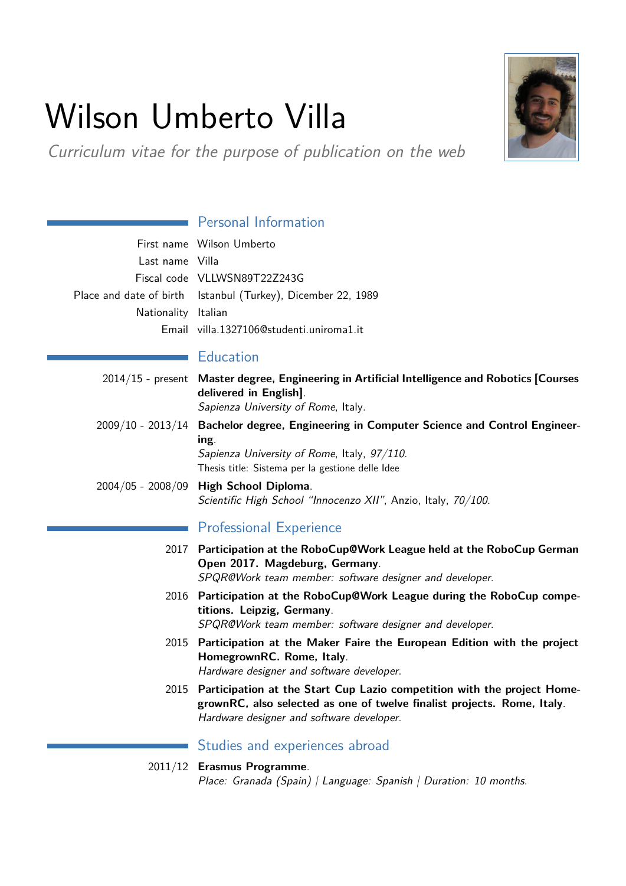# Wilson Umberto Villa

Curriculum vitae for the purpose of publication on the web

# **Personal Information**

|                     | First name Wilson Umberto                                    |
|---------------------|--------------------------------------------------------------|
| Last name Villa     |                                                              |
|                     | Fiscal code VLLWSN89T22Z243G                                 |
|                     | Place and date of birth Istanbul (Turkey), Dicember 22, 1989 |
| Nationality Italian |                                                              |
|                     | Email villa.1327106@studenti.uniroma1.it                     |

### **Education**

- 2014/15 present **Master degree, Engineering in Artificial Intelligence and Robotics [Courses delivered in English]**. Sapienza University of Rome, Italy. 2009/10 - 2013/14 **Bachelor degree, Engineering in Computer Science and Control Engineering**. Sapienza University of Rome, Italy, 97/110. Thesis title: Sistema per la gestione delle Idee
- 2004/05 2008/09 **High School Diploma**. Scientific High School "Innocenzo XII", Anzio, Italy, 70/100.

## Professional Experience

- 2017 **Participation at the RoboCup@Work League held at the RoboCup German Open 2017. Magdeburg, Germany**. SPQR@Work team member: software designer and developer.
- 2016 **Participation at the RoboCup@Work League during the RoboCup competitions. Leipzig, Germany**. SPQR@Work team member: software designer and developer.
- 2015 **Participation at the Maker Faire the European Edition with the project HomegrownRC. Rome, Italy**. Hardware designer and software developer.
- 2015 **Participation at the Start Cup Lazio competition with the project HomegrownRC, also selected as one of twelve finalist projects. Rome, Italy**. Hardware designer and software developer.

**Studies and experiences abroad** 

#### 2011/12 **Erasmus Programme**.

Place: Granada (Spain) | Language: Spanish | Duration: 10 months.